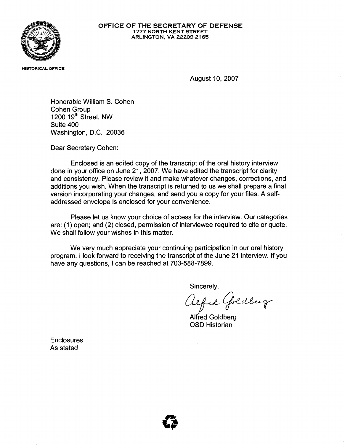

## OFFICE OF THE SECRETARY OF DEFENSE 1777 NORTH KENT STREET ARLINGTON, VA 22209-2165

HISTORICAL OFFICE

August 10, 2007

Honorable William S. Cohen Cohen Group 1200 19<sup>th</sup> Street, NW Suite 400 Washington, D.C. 20036

Dear Secretary Cohen:

Enclosed is an edited copy of the transcript of the oral history interview done in your office on June 21, 2007. We have edited the transcript for clarity and consistency. Please review it and make whatever changes, corrections, and additions you wish. When the transcript is returned to us we shall prepare a final version incorporating your changes, and send you a copy for your files. A selfaddressed envelope is enclosed for your convenience.

Please let us know your choice of access for the interview. Our categories are: (1) open; and (2) closed, permission of interviewee required to cite or quote. We shall follow your wishes in this matter.

We very much appreciate your continuing participation in our oral history program. I look forward to receiving the transcript of the June 21 interview. If you have any questions, I can be reached at 703-588-7899.

Sincerely,

efred Goldberg

Alfred Goldberg OSD Historian

**Enclosures** As stated

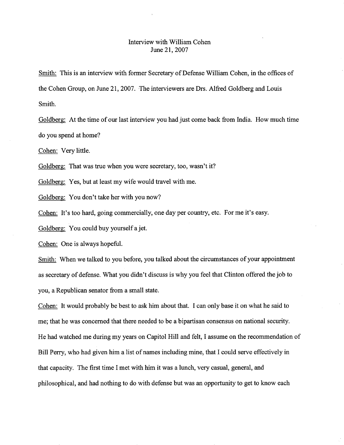## Interview with William Cohen June 21, 2007

Smith: This is an interview with former Secretary of Defense William Cohen, in the offices of the Cohen Group, on June 21, 2007. The interviewers are Drs. Alfred Goldberg and Louis Smith.

Goldberg: At the time of our last interview you had just come back from India. How much time do you spend at home?

Cohen: Very little.

Goldberg: That was true when you were secretary, too, wasn't it?

Goldberg: Yes, but at least my wife would travel with me.

Goldberg: You don't take her with you now?

Cohen: It's too hard, going commercially, one day per country, etc. For me it's easy.

Goldberg: You could buy yourself a jet.

Cohen: One is always hopeful.

Smith: When we talked to you before, you talked about the circumstances of your appointment as secretary of defense. What you didn't discuss is why you feel that Clinton offered the job to you, a Republican senator from a small state.

Cohen: It would probably be best to ask him about that. I can only base it on what he said to me; that he was concerned that there needed to be a bipartisan consensus on national security. He had watched me during my years on Capitol Hill and felt, I assume on the recommendation of Bill Perry, who had given him a list of names including mine, that I could serve effectively in that capacity. The first time I met with him it was a lunch, very casual, general, and philosophical, and had nothing to do with defense but was an opportunity to get to know each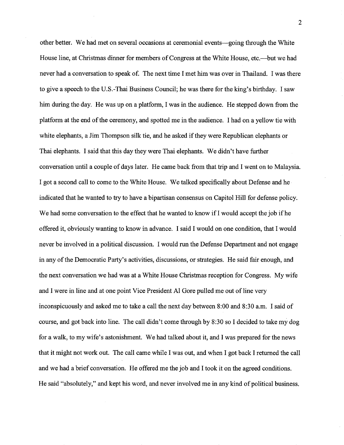other better. We had met on several occasions at ceremonial events—going through the White House line, at Christmas dinner for members of Congress at the White House, etc.—but we had never had a conversation to speak of. The next time I met him was over in Thailand. I was there to give a speech to the U.S.-Thai Business Council; he was there for the king's birthday. I saw him during the day. He was up on a platform, I was in the audience. He stepped down from the platform at the end of the ceremony, and spotted me in the audience. I had on a yellow tie with white elephants, a Jim Thompson silk tie, and he asked if they were Republican elephants or Thai elephants. I said that this day they were Thai elephants. We didn't have further conversation until a couple of days later. He came back from that trip and I went on to Malaysia. I got a second call to come to the White House. We talked specifically about Defense and he indicated that he wanted to try to have a bipartisan consensus on Capitol Hill for defense policy. We had some conversation to the effect that he wanted to know if I would accept the job if he offered it, obviously wanting to know in advance. I said I would on one condition, that I would never be involved in a political discussion. I would run the Defense Department and not engage in any of the Democratic Party's activities, discussions, or strategies. He said fair enough, and the next conversation we had was at a White House Christmas reception for Congress. My wife and I were in line and at one point Vice President Al Gore pulled me out of line very inconspicuously and asked me to take a call the next day between 8:00 and 8:30 a.m. I said of course, and got back into line. The call didn't come through by 8:30 so I decided to take my dog for a walk, to my wife's astonishment. We had talked about it, and I was prepared for the news that it might not work out. The call came while I was out, and when I got back I returned the call and we had a brief conversation. He offered me the job and I took it on the agreed conditions. He said "absolutely," and kept his word, and never involved me in any kind of political business.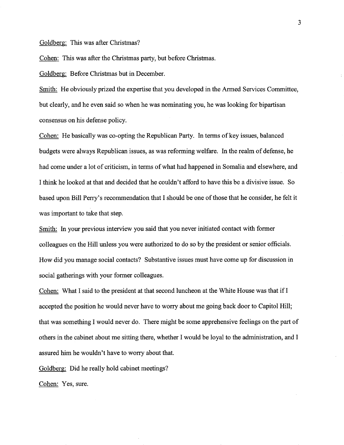## Goldberg: This was after Christmas?

Cohen: This was after the Christmas party, but before Christmas.

Goldberg: Before Christmas but in December.

Smith: He obviously prized the expertise that you developed in the Armed Services Committee, but clearly, and he even said so when he was nominating you, he was looking for bipartisan consensus on his defense policy.

Cohen: He basically was co-opting the Republican Party. In terms of key issues, balanced budgets were always Republican issues, as was reforming welfare. In the realm of defense, he had come under a lot of criticism, in terms of what had happened in Somalia and elsewhere, and I think he looked at that and decided that he couldn't afford to have this be a divisive issue. So based upon Bill Perry's recommendation that I should be one of those that he consider, he felt it was important to take that step.

Smith: In your previous interview you said that you never initiated contact with former colleagues on the Hill unless you were authorized to do so by the president or senior officials. How did you manage social contacts? Substantive issues must have come up for discussion in social gatherings with your former colleagues.

Cohen: What I said to the president at that second luncheon at the White House was that if I accepted the position he would never have to worry about me going back door to Capitol Hill; that was something I would never do. There might be some apprehensive feelings on the part of others in the cabinet about me sitting there, whether I would be loyal to the administration, and I assured him he wouldn't have to worry about that.

Goldberg: Did he really hold cabinet meetings?

Cohen: Yes, sure.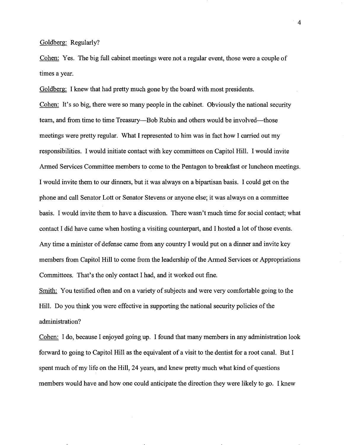## Goldberg: Regularly?

Cohen: Yes. The big full cabinet meetings were not a regular event, those were a couple of times a year.

Goldberg: I knew that had pretty much gone by the board with most presidents. Cohen: It's so big, there were so many people in the cabinet. Obviously the national security team, and from time to time Treasury—Bob Rubin and others would be involved—those meetings were pretty regular. What I represented to him was in fact how I carried out my responsibilities. I would initiate contact with key committees on Capitol Hill. I would invite Armed Services Committee members to come to the Pentagon to breakfast or luncheon meetings. I would invite them to our dinners, but it was always on a bipartisan basis. I could get on the phone and call Senator Lott or Senator Stevens or anyone else; it was always on a committee basis. I would invite them to have a discussion. There wasn't much time for social contact; what contact I did have came when hosting a visiting counterpart, and I hosted a lot of those events. Any time a minister of defense came from any country I would put on a dinner and invite key members from Capitol Hill to come from the leadership of the Armed Services or Appropriations Committees. That's the only contact I had, and it worked out fine.

Smith: You testified often and on a variety of subjects and were very comfortable going to the Hill. Do you think you were effective in supporting the national security policies of the administration?

Cohen: I do, because I enjoyed going up. I found that many members in any administration look forward to going to Capitol Hill as the equivalent of a visit to the dentist for a root canal. But I spent much of my life on the Hill, 24 years, and knew pretty much what kind of questions members would have and how one could anticipate the direction they were likely to go. I knew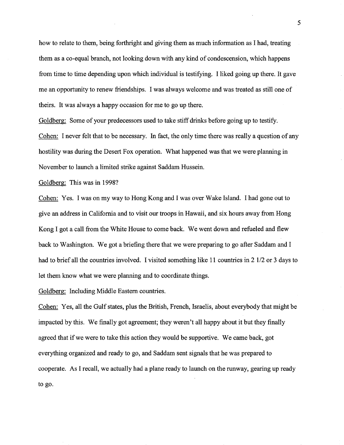how to relate to them, being forthright and giving them as much information as I had, treating them as a co-equal branch, not looking down with any kind of condescension, which happens from time to time depending upon which individual is testifying. I liked going up there. It gave me an opportunity to renew friendships. I was always welcome and was treated as still one of theirs. It was always a happy occasion for me to go up there.

Goldberg: Some of your predecessors used to take stiff drinks before going up to testify. Cohen: I never felt that to be necessary. In fact, the only time there was really a question of any hostility was during the Desert Fox operation. What happened was that we were planning in November to launch a limited strike against Saddam Hussein.

Goldberg: This was in 1998?

Cohen: Yes. I was on my way to Hong Kong and I was over Wake Island. I had gone out to give an address in California and to visit our troops in Hawaii, and six hours away from Hong Kong I got a call from the White House to come back. We went down and refueled and flew back to Washington. We got a briefing there that we were preparing to go after Saddam and I had to brief all the countries involved. I visited something like 11 countries in 2 1/2 or 3 days to let them know what we were planning and to coordinate things.

Goldberg: Including Middle Eastern countries.

Cohen: Yes, all the Gulf states, plus the British, French, Israelis, about everybody that might be impacted by this. We finally got agreement; they weren't all happy about it but they finally agreed that if we were to take this action they would be supportive. We came back, got everything organized and ready to go, and Saddam sent signals that he was prepared to cooperate. As I recall, we actually had a plane ready to launch on the runway, gearing up ready to go.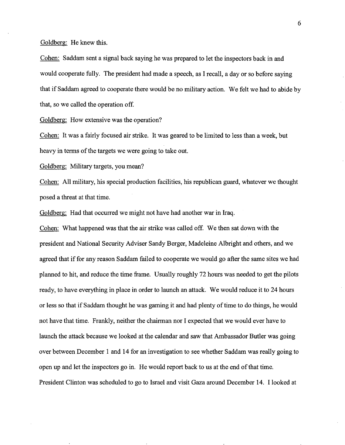Goldberg: He knew this.

Cohen: Saddam sent a signal back saying he was prepared to let the inspectors back in and would cooperate fully. The president had made a speech, as I recall, a day or so before saying that if Saddam agreed to cooperate there would be no military action. We felt we had to abide by that, so we called the operation off.

Goldberg: How extensive was the operation?

Cohen: It was a fairly focused air strike. It was geared to be limited to less than a week, but heavy in terms of the targets we were going to take out.

Goldberg: Military targets, you mean?

Cohen: All military, his special production facilities, his republican guard, whatever we thought posed a threat at that time.

Goldberg: Had that occurred we might not have had another war in Iraq.

Cohen: What happened was that the air strike was called off. We then sat down with the president and National Security Adviser Sandy Berger, Madeleine Albright and others, and we agreed that if for any reason Saddam failed to cooperate we would go after the same sites we had planned to hit, and reduce the time frame. Usually roughly 72 hours was needed to get the pilots ready, to have everything in place in order to launch an attack. We would reduce it to 24 hours or less so that if Saddam thought he was gaming it and had plenty of time to do things, he would not have that time. Frankly, neither the chairman nor I expected that we would ever have to launch the attack because we looked at the calendar and saw that Ambassador Butler was going over between December 1 and 14 for an investigation to see whether Saddam was really going to open up and let the inspectors go in. He would report back to us at the end of that time. President Clinton was scheduled to go to Israel and visit Gaza around December 14. I looked at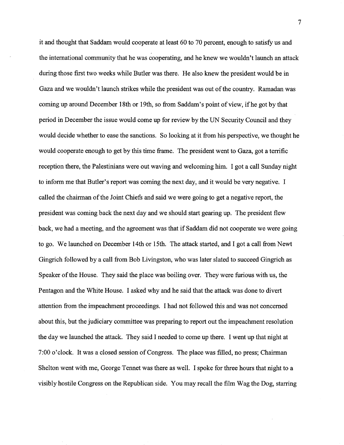it and thought that Saddam would cooperate at least 60 to 70 percent, enough to satisfy us and the international community that he was cooperating, and he knew we wouldn't launch an attack during those first two weeks while Butler was there. He also knew the president would be in Gaza and we wouldn't launch strikes while the president was out of the country. Ramadan was coming up around December 18th or 19th, so from Saddam's point of view, ifhe got by that period in December the issue would come up for review by the UN Security Council and they would decide whether to ease the sanctions. So looking at it from his perspective, we thought he would cooperate enough to get by this time frame. The president went to Gaza, got a terrific reception there, the Palestinians were out waving and welcoming him. I got a call Sunday night to inform me that Butler's report was coming the next day, and it would be very negative. I called the chairman of the Joint Chiefs and said we were going to get a negative report, the president was coming back the next day and we should start gearing up. The president flew back, we had a meeting, and the agreement was that if Saddam did not cooperate we were going to go. We launched on December 14th or 15th. The attack started, and I got a call from Newt Gingrich followed by a call from Bob Livingston, who was later slated to succeed Gingrich as Speaker of the House. They said the place was boiling over. They were furious with us, the Pentagon and the White House. I asked why and he said that the attack was done to divert attention from the impeachment proceedings. I had not followed this and was not concerned about this, but the judiciary committee was preparing to report out the impeachment resolution the day we launched the attack. They said I needed to come up there. I went up that night at 7:00 o'clock. It was a closed session of Congress. The place was filled, no press; Chairman Shelton went with me, George Tennet was there as well. I spoke for three hours that night to a visibly hostile Congress on the Republican side. You may recall the film Wag the Dog, starring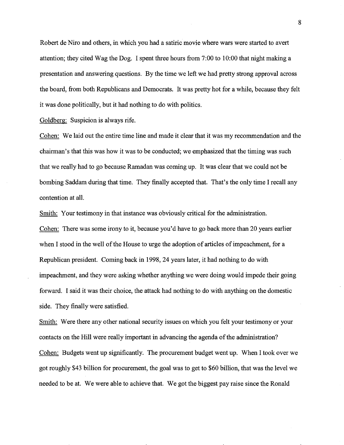Robert de Niro and others, in which you had a satiric movie where wars were started to avert attention; they cited Wag the Dog. I spent three hours from 7:00 to 10:00 that night making a presentation and answering questions. By the time we left we had pretty strong approval across the board, from both Republicans and Democrats. It was pretty hot for a while, because they felt it was done politically, but it had nothing to do with politics.

Goldberg: Suspicion is always rife.

Cohen: We laid out the entire time line and made it clear that it was my recommendation and the chairman's that this was how it was to be conducted; we emphasized that the timing was such that we really had to go because Ramadan was coming up. It was clear that we could not be bombing Saddam during that time. They finally accepted that. That's the only time I recall any contention at all.

Smith: Your testimony in that instance was obviously critical for the administration. Cohen: There was some irony to it, because you'd have to go back more than 20 years earlier when I stood in the well of the House to urge the adoption of articles of impeachment, for a Republican president. Coming back in 1998, 24 years later, it had nothing to do with impeachment, and they were asking whether anything we were doing would impede their going forward. I said it was their choice, the attack had nothing to do with anything on the domestic side. They finally were satisfied.

Smith: Were there any other national security issues on which you felt your testimony or your contacts on the Hill were really important in advancing the agenda of the administration? Cohen: Budgets went up significantly. The procurement budget went up. When I took over we got roughly \$43 billion for procurement, the goal was to get to \$60 billion, that was the level we needed to be at. We were able to achieve that. We got the biggest pay raise since the Ronald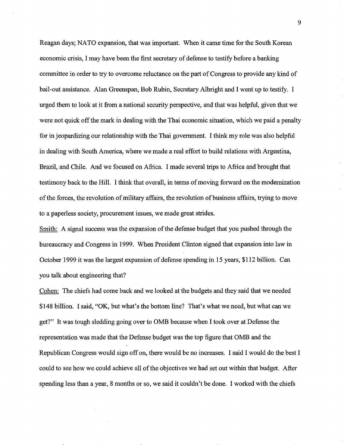Reagan days; NA TO expansion, that was important. When it came time for the South Korean economic crisis, I may have been the first secretary of defense to testify before a banking committee in order to try to overcome reluctance on the part of Congress to provide any kind of bail-out assistance. Alan Greenspan, Bob Rubin, Secretary Albright and I went up to testify. I urged them to look at it from a national security perspective, and that was helpful, given that we were not quick off the mark in dealing with the Thai economic situation, which we paid a penalty for in jeopardizing our relationship with the Thai government. I think my role was also helpful in dealing with South America, where we made a real effort to build relations with Argentina, Brazil, and Chile. And we focused on Africa. I made several trips to Africa and brought that testimony back to the Hill. I think that overall, in terms of moving forward on the modernization of the forces, the revolution of military affairs, the revolution of business affairs, trying to move to a paperless society, procurement issues, we made great strides.

Smith: A signal success was the expansion of the defense budget that you pushed through the bureaucracy and Congress in 1999. When President Clinton signed that expansion into law in October 1999 it was the largest expansion of defense spending in 15 years, \$112 billion. Can you talk about engineering that?

Cohen: The chiefs had come back and we looked at the budgets and they said that we needed \$148 billion. I said, "OK, but what's the bottom line? That's what we need, but what can we get?" It was tough sledding going over to OMB because when I took over at Defense the representation was made that the Defense budget was the top figure that OMB and the Republican Congress would sign off on, there would be no increases. I said I would do the best I could to see how we could achieve all of the objectives we had set out within that budget. After spending less than a year, 8 months or so, we said it couldn't be done. I worked with the chiefs

9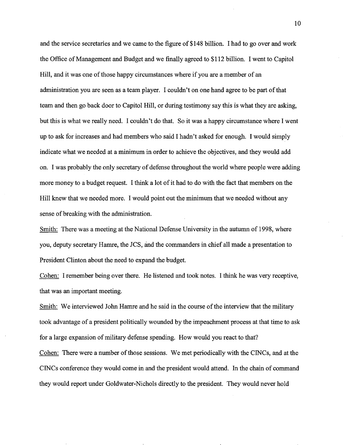and the service secretaries and we came to the figure of \$148 billion. I had to go over and work the Office of Management and Budget and we finally agreed to \$112 billion. I went to Capitol Hill, and it was one of those happy circumstances where if you are a member of an administration you are seen as a team player. I couldn't on one hand agree to be part of that team and then go back door to Capitol Hill, or during testimony say this is what they are asking, but this is what we really need. I couldn't do that. So it was a happy circumstance where I went up to ask for increases and had members who said I hadn't asked for enough. I would simply indicate what we needed at a minimum in order to achieve the objectives, and they would add on. I was probably the only secretary of defense throughout the world where people were adding more money to a budget request. I think a lot of it had to do with the fact that members on the Hill knew that we needed more. I would point out the minimum that we needed without any sense of breaking with the administration.

Smith: There was a meeting at the National Defense University in the autumn of 1998, where you, deputy secretary Hamre, the JCS, and the commanders in chief all made a presentation to President Clinton about the need to expand the budget.

Cohen: I remember being over there. He listened and took notes. I think he was very receptive, that was an important meeting.

Smith: We interviewed John Hamre and he said in the course of the interview that the military took advantage of a president politically wounded by the impeachment process at that time to ask for a large expansion of military defense spending. How would you react to that?

Cohen: There were a number of those sessions. We met periodically with the CINCs, and at the CINCs conference they would come in and the president would attend. In the chain of command they would report under Goldwater-Nichols directly to the president. They would never hold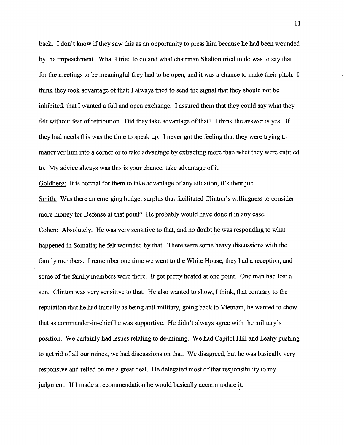back. I don't know if they saw this as an opportunity to press him because he had been wounded by the impeachment. What I tried to do and what chairman Shelton tried to do was to say that for the meetings to be meaningful they had to be open, and it was a chance to make their pitch. I think they took advantage of that; I always tried to send the signal that they should not be inhibited, that I wanted a full and open exchange. I assured them that they could say what they felt without fear of retribution. Did they take advantage of that? I think the answer is yes. If they had needs this was the time to speak up. I never got the feeling that they were trying to maneuver him into a comer or to take advantage by extracting more than what they were entitled to. My advice always was this is your chance, take advantage of it.

Goldberg: It is normal for them to take advantage of any situation, it's their job.

Smith: Was there an emerging budget surplus that facilitated Clinton's willingness to consider more money for Defense at that point? He probably would have done it in any case. Cohen: Absolutely. He was very sensitive to that, and no doubt he was responding to what happened in Somalia; he felt wounded by that. There were some heavy discussions with the family members. I remember one time we went to the White House, they had a reception, and some of the family members were there. It got pretty heated at one point. One man had lost a son. Clinton was very sensitive to that. He also wanted to show, I think, that contrary to the reputation that he had initially as being anti-military, going back to Vietnam, he wanted to show that as commander-in-chief he was supportive. He didn't always agree with the military's position. We certainly had issues relating to de-mining. We had Capitol Hill and Leahy pushing to get rid of all our mines; we had discussions on that. We disagreed, but he was basically very responsive and relied on me a great deal. He delegated most of that responsibility to my judgment. If I made a recommendation he would basically accommodate it.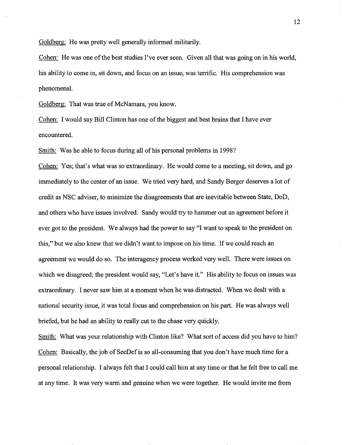Goldberg: He was pretty well generally informed militarily.

Cohen: He was one of the best studies I've ever seen. Given all that was going on in his world, his ability to come in, sit down, and focus on an issue, was terrific. His comprehension was phenomenal.

Goldberg: That was true of McNamara, you know.

Cohen: I would say Bill Clinton has one of the biggest and best brains that I have ever encountered.

Smith: Was he able to focus during all of his personal problems in 1998?

Cohen: Yes; that's what was so extraordinary. He would come to a meeting, sit down, and go immediately to the center of an issue. We tried very hard, and Sandy Berger deserves a lot of credit as NSC adviser, to minimize the disagreements that are inevitable between State, DoD, and others who have issues involved. Sandy would try to hammer out an agreement before it ever got to the president. We always had the power to say "I want to speak to the president on this," but we also knew that we didn't want to impose on his time. If we could reach an agreement we would do so. The interagency process worked very well. There were issues on which we disagreed; the president would say, "Let's have it." His ability to focus on issues was extraordinary. I never saw him at a moment when he was distracted. When we dealt with a national security issue, it was total focus and comprehension on his part. He was always well briefed, but he had an ability to really cut to the chase very quickly.

Smith: What was your relationship with Clinton like? What sort of access did you have to him? Cohen: Basically, the job of SecDef is so all-consuming that you don't have much time for a personal relationship. I always felt that I could call him at any time or that he felt free to call me at any time. It was very warm and genuine when we were together. He would invite me from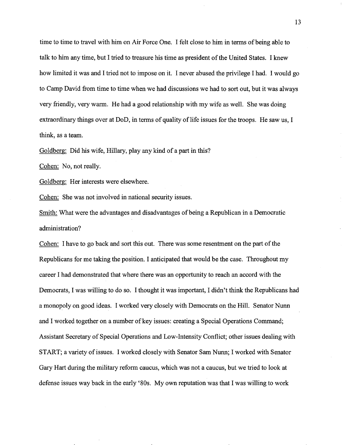time to time to travel with him on Air Force One. I felt close to him in terms of being able to talk to him any time, but I tried to treasure his time as president of the United States. I knew how limited it was and I tried not to impose on it. I never abused the privilege I had. I would go to Camp David from time to time when we had discussions we had to sort out, but it was always very friendly, very warm. He had a good relationship with my wife as well. She was doing extraordinary things over at DoD, in terms of quality of life issues for the troops. He saw us, I think, as a team.

Goldberg: Did his wife, Hillary, play any kind of a part in this?

Cohen: No, not really.

Goldberg: Her interests were elsewhere.

Cohen: She was not involved in national security issues.

Smith: What were the advantages and disadvantages of being a Republican in a Democratic administration?

Cohen: I have to go back and sort this out. There was some resentment on the part of the Republicans for me taking the position. I anticipated that would be the case. Throughout my career I had demonstrated that where there was an opportunity to reach an accord with the Democrats, I was willing to do so. I thought it was important, I didn't think the Republicans had a monopoly on good ideas. I worked very closely with Democrats on the Hill. Senator Nunn and I worked together on a number of key issues: creating a Special Operations Command; Assistant Secretary of Special Operations and Low-Intensity Conflict; other issues dealing with START; a variety of issues. I worked closely with Senator Sam Nunn; I worked with Senator Gary Hart during the military reform caucus, which was not a caucus, but we tried to look at defense issues way back in the early '80s. My own reputation was that I was willing to work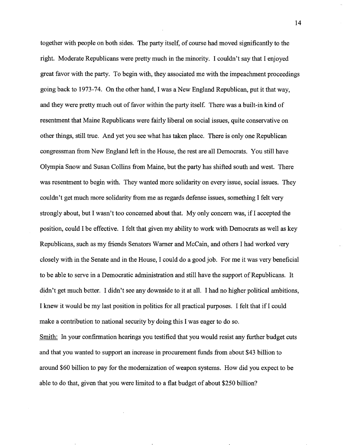together with people on both sides. The party itself, of course had moved significantly to the right. Moderate Republicans were pretty much in the minority. I couldn't say that I enjoyed great favor with the party. To begin with, they associated me with the impeachment proceedings going back to 1973-74. On the other hand, I was a New England Republican, put it that way, and they were pretty much out of favor within the party itself. There was a built-in kind of resentment that Maine Republicans were fairly liberal on social issues, quite conservative on other things, still true. And yet you see what has taken place. There is only one Republican congressman from New England left in the House, the rest are all Democrats. You still have Olympia Snow and Susan Collins from Maine, but the party has shifted south and west. There was resentment to begin with. They wanted more solidarity on every issue, social issues. They couldn't get much more solidarity from me as regards defense issues, something I felt very strongly about, but I wasn't too concerned about that. My only concern was, ifl accepted the position, could I be effective. I felt that given my ability to work with Democrats as well as key Republicans, such as my friends Senators W amer and McCain, and others I had worked very closely with in the Senate and in the House, I could do a good job. For me it was very beneficial to be able to serve in a Democratic administration and still have the support of Republicans. It didn't get much better. I didn't see any downside to it at all. I had no higher political ambitions, I knew it would be my last position in politics for all practical purposes. I felt that if I could make a contribution to national security by doing this I was eager to do so.

Smith: In your confirmation hearings you testified that you would resist any further budget cuts and that you wanted to support an increase in procurement funds from about \$43 billion to around \$60 billion to pay for the modernization of weapon systems. How did you expect to be able to do that, given that you were limited to a flat budget of about \$250 billion?

14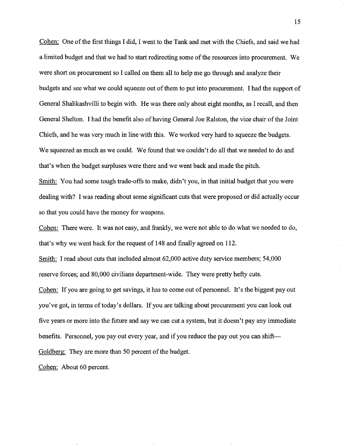Cohen: One of the first things I did, I went to the Tank and met with the Chiefs, and said we had a limited budget and that we had to start redirecting some of the resources into procurement. We were short on procurement so I called on them all to help me go through and analyze their budgets and see what we could squeeze out of them to put into procurement. I had the support of General Shalikashvilli to begin with. He was there only about eight months, as I recall, and then General Shelton. I had the benefit also of having General Joe Ralston, the vice chair of the Joint Chiefs, and he was very much in line with this. We worked very hard to squeeze the budgets. We squeezed as much as we could. We found that we couldn't do all that we needed to do and that's when the budget surpluses were there and we went back and made the pitch.

Smith: You had some tough trade-offs to make, didn't you, in that initial budget that you were dealing with? I was reading about some significant cuts that were proposed or did actually occur so that you could have the money for weapons.

Cohen: There were. It was not easy, and frankly, we were not able to do what we needed to do, that's why we went back for the request of 148 and finally agreed on 112.

Smith: I read about cuts that included almost 62,000 active duty service members; 54,000 reserve forces; and 80,000 civilians department-wide. They were pretty hefty cuts.

Cohen: If you are going to get savings, it has to come out of personnel. It's the biggest pay out you've got, in terms of today's dollars. If you are talking about procurement you can look out five years or more into the future and say we can cut a system, but it doesn't pay any immediate benefits. Personnel, you pay out every year, and if you reduce the pay out you can shift-Goldberg: They are more than 50 percent of the budget.

Cohen: About 60 percent.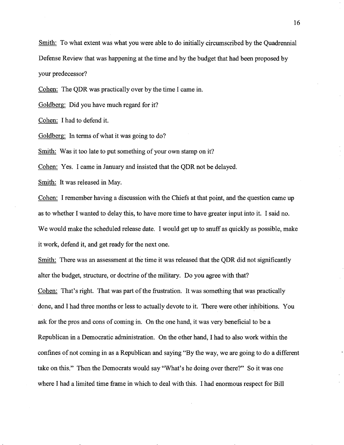Smith: To what extent was what you were able to do initially circumscribed by the Quadrennial Defense Review that was happening at the time and by the budget that had been proposed by your predecessor?

Cohen: The QDR was practically over by the time I came in.

Goldberg: Did you have much regard for it?

Cohen: I had to defend it.

Goldberg: In terms of what it was going to do?

Smith: Was it too late to put something of your own stamp on it?

Cohen: Yes. I came in January and insisted that the QDR not be delayed.

Smith: It was released in May.

Cohen: I remember having a discussion with the Chiefs at that point, and the question came up as to whether I wanted to delay this, to have more time to have greater input into it. I said no. We would make the scheduled release date. I would get up to snuff as quickly as possible, make it work, defend it, and get ready for the next one.

Smith: There was an assessment at the time it was released that the QDR did not significantly alter the budget, structure, or doctrine of the military. Do you agree with that? Cohen: That's right. That was part of the frustration. It was something that was practically done, and I had three months or less to actually devote to it. There were other inhibitions. You ask for the pros and cons of coming in. On the one hand, it was very beneficial to be a Republican in a Democratic administration. On the other hand, I had to also work within the confines of not coming in as a Republican and saying "By the way, we are going to do a different take on this." Then the Democrats would say "What's he doing over there?" So it was one where I had a limited time frame in which to deal with this. I had enormous respect for Bill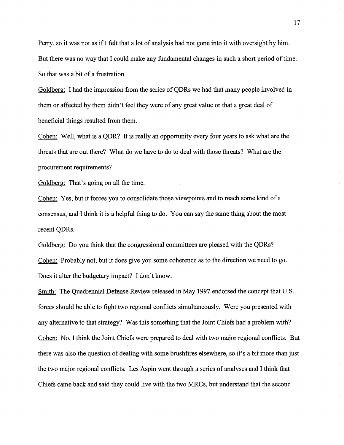Perry, so it was not as if I felt that a lot of analysis had not gone into it with oversight by him. But there was no way that I could make any fundamental changes in such a short period of time. So that was a bit of a frustration.

Goldberg: I had the impression from the series of QDRs we had that many people involved in them or affected by them didn't feel they were of any great value or that a great deal of beneficial things resulted from them.

Cohen: Well, what is a QDR? It is really an opportunity every four years to ask what are the threats that are out there? What do we have to do to deal with those threats? What are the procurement requirements?

Goldberg: That's going on all the time.

Cohen: Yes, but it forces you to consolidate those viewpoints and to reach some kind of a consensus, and I think it is a helpful thing to do. You can say the same thing about the most recent QDRs.

Goldberg: Do you think that the congressional committees are pleased with the QDRs? Cohen: Probably not, but it does give you some coherence as to the direction we need to go. Does it alter the budgetary impact? I don't know.

Smith: The Quadrennial Defense Review released in May 1997 endorsed the concept that U.S. forces should be able to fight two regional conflicts simultaneously. Were you presented with any alternative to that strategy? Was this something that the Joint Chiefs had a problem with? Cohen: No, I think the Joint Chiefs were prepared to deal with two major regional conflicts. But there was also the question of dealing with some brushfires elsewhere, so it's a bit more than just the two major regional conflicts. Les Aspin went through a series of analyses and I think that Chiefs came back and said they could live with the two MRCs, but understand that the second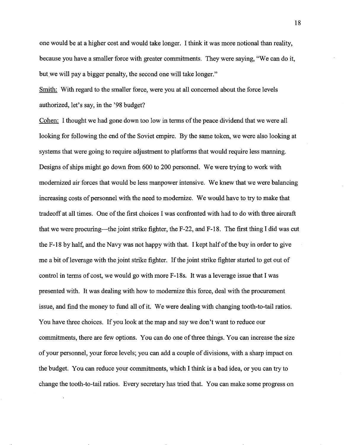one would be at a higher cost and would take longer. I think it was more notional than reality, because you have a smaller force with greater commitments. They were saying, "We can do it, but we will pay a bigger penalty, the second one will take longer."

Smith: With regard to the smaller force, were you at all concerned about the force levels authorized, let's say, in the '98 budget?

Cohen: I thought we had gone down too low in terms of the peace dividend that we were all looking for following the end of the Soviet empire. By the same token, we were also looking at systems that were going to require adjustment to platforms that would require less manning. Designs of ships might go down from 600 to 200 personnel. We were trying to work with modernized air forces that would be less manpower intensive. We knew that we were balancing increasing costs of personnel with the need to modernize. We would have to try to make that tradeoff at all times. One of the first choices I was confronted with had to do with three aircraft that we were procuring—the joint strike fighter, the F-22, and F-18. The first thing I did was cut the F-18 by half, and the Navy was not happy with that. I kept half of the buy in order to give me a bit of leverage with the joint strike fighter. If the joint strike fighter started to get out of control in terms of cost, we would go with more F-18s. It was a leverage issue that I was presented with. It was dealing with how to modernize this force, deal with the procurement issue, and find the money to fund all of it. We were dealing with changing tooth-to-tail ratios. You have three choices. If you look at the map and say we don't want to reduce our commitments, there are few options. You can do one of three things. You can increase the size of your personnel, your force levels; you can add a couple of divisions, with a sharp impact on the budget. You can reduce your commitments, which I think is a bad idea, or you can try to change the tooth-to-tail ratios. Every secretary has tried that. You can make some progress on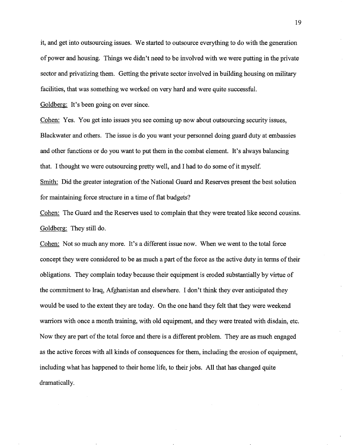it, and get into outsourcing issues. We started to outsource everything to do with the generation of power and housing. Things we didn't need to be involved with we were putting in the private sector and privatizing them. Getting the private sector involved in building housing on military facilities, that was something we worked on very hard and were quite successful.

Goldberg: It's been going on ever since.

Cohen: Yes. You get into issues you see coming up now about outsourcing security issues, Blackwater and others. The issue is do you want your personnel doing guard duty at embassies and other functions or do you want to put them in the combat element. It's always balancing that. I thought we were outsourcing pretty well, and I had to do some of it myself.

Smith: Did the greater integration of the National Guard and Reserves present the best solution for maintaining force structure in a time of flat budgets?

Cohen: The Guard and the Reserves used to complain that they were treated like second cousins. Goldberg: They still do.

Cohen: Not so much any more. It's a different issue now. When we went to the total force concept they were considered to be as much a part of the force as the active duty in terms of their obligations. They complain today because their equipment is eroded substantially by virtue of the commitment to Iraq, Afghanistan and elsewhere. I don't think they ever anticipated they would be used to the extent they are today. On the one hand they felt that they were weekend warriors with once a month training, with old equipment, and they were treated with disdain, etc. Now they are part of the total force and there is a different problem. They are as much engaged as the active forces with all kinds of consequences for them, including the erosion of equipment, including what has happened to their home life, to their jobs. All that has changed quite dramatically.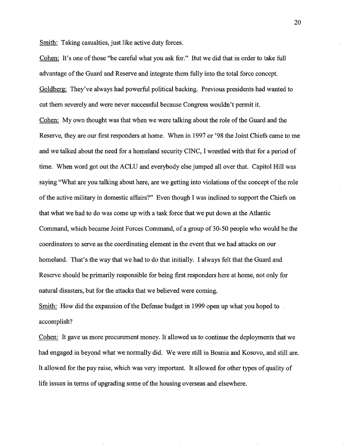Smith: Taking casualties, just like active duty forces.

Cohen: It's one of those ''be careful what you ask for." But we did that in order to take full advantage of the Guard and Reserve and integrate them fully into the total force concept. Goldberg: They've always had powerful political backing. Previous presidents had wanted to cut them severely and were never successful because Congress wouldn't permit it. Cohen: My own thought was that when we were talking about the role of the Guard and the Reserve, they are our first responders at home. When in 1997 or '98 the Joint Chiefs came to me and we talked about the need for a homeland security CINC, I wrestled with that for a period of time. When word got out the ACLU and everybody else jumped all over that. Capitol Hill was saying "What are you talking about here, are we getting into violations of the concept of the role of the active military in domestic affairs?" Even though I was inclined to support the Chiefs on that what we had to do was come up with a task force that we put down at the Atlantic Command, which became Joint Forces Command, of a group of 30-50 people who would be the coordinators to serve as the coordinating element in the event that we had attacks on our homeland. That's the way that we had to do that initially. I always felt that the Guard and Reserve should be primarily responsible for being first responders here at home, not only for natural disasters, but for the attacks that we believed were coming.

Smith: How did the expansion of the Defense budget in 1999 open up what you hoped to accomplish?

Cohen: It gave us more procurement money. It allowed us to continue the deployments that we had engaged in beyond what we normally did. We were still in Bosnia and Kosovo, and still are. It allowed for the pay raise, which was very important. It allowed for other types of quality of life issues in terms of upgrading some of the housing overseas and elsewhere.

20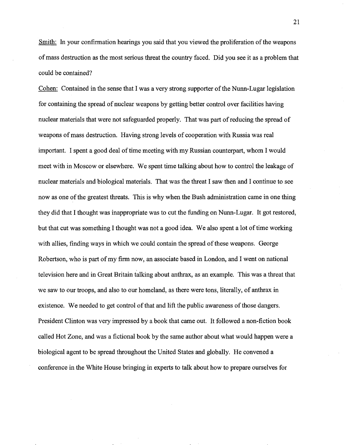Smith: In your confirmation hearings you said that you viewed the proliferation of the weapons of mass destruction as the most serious threat the country faced. Did you see it as a problem that could be contained?

Cohen: Contained in the sense that I was a very strong supporter of the Nunn-Lugar legislation for containing the spread of nuclear weapons by getting better control over facilities having nuclear materials that were not safeguarded properly. That was part of reducing the spread of weapons of mass destruction. Having strong levels of cooperation with Russia was real important. I spent a good deal of time meeting with my Russian counterpart, whom I would meet with in Moscow or elsewhere. We spent time talking about how to control the leakage of nuclear materials and biological materials. That was the threat I saw then and I continue to see now as one of the greatest threats. This is why when the Bush administration came in one thing they did that I thought was inappropriate was to cut the funding on Nunn-Lugar. It got restored, but that cut was something I thought was not a good idea. We also spent a lot of time working with allies, finding ways in which we could contain the spread of these weapons. George Robertson, who is part of my firm now, an associate based in London, and I went on national television here and in Great Britain talking about anthrax, as an example. This was a threat that we saw to our troops, and also to our homeland, as there were tons, literally, of anthrax in existence. We needed to get control of that and lift the public awareness of those dangers. President Clinton was very impressed by a book that came out. It followed a non-fiction book called Hot Zone, and was a fictional book by the same author about what would happen were a biological agent to be spread throughout the United States and globally. He convened a conference in the White House bringing in experts to talk about how to prepare ourselves for

21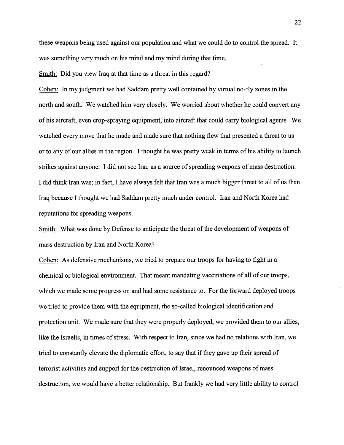these weapons being used against our population and what we could do to control the spread. It was something very much on his mind and my mind during that time.

Smith: Did you view Iraq at that time as a threat in this regard?

Cohen: In my judgment we had Saddam pretty well contained by virtual no-fly zones in the north and south. We watched him very closely. We worried about whether he could convert any of his aircraft, even crop-spraying equipment, into aircraft that could carry biological agents. We watched every move that he made and made sure that nothing flew that presented a threat to us or to any of our allies in the region. I thought he was pretty weak in terms of his ability to launch strikes against anyone. I did not see Iraq as a source of spreading weapons of mass destruction. I did think Iran was; in fact, I have always felt that Iran was a much bigger threat to all of us than Iraq because I thought we had Saddam pretty much under control. Iran and North Korea had reputations for spreading weapons.

Smith: What was done by Defense to anticipate the threat of the development of weapons of mass destruction by Iran and North Korea?

Cohen: As defensive mechanisms, we tried to prepare our troops for having to fight in a chemical or biological environment. That meant mandating vaccinations of all of our troops, which we made some progress on and had some resistance to. For the forward deployed troops we tried to provide them with the equipment, the so-called biological identification and protection unit. We made sure that they were properly deployed, we provided them to our allies, like the Israelis, in times of stress. With respect to Iran, since we had no relations with Iran, we tried to constantly elevate the diplomatic effort, to say that if they gave up their spread of terrorist activities and support for the destruction of Israel, renounced weapons of mass destruction, we would have a better relationship. But frankly we had very little ability to control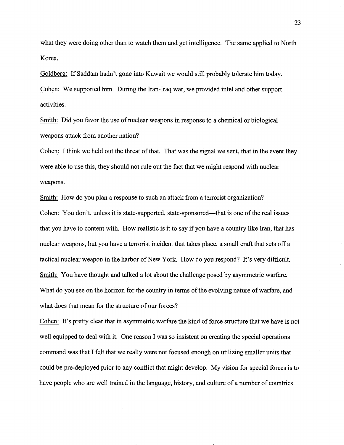what they were doing other than to watch them and get intelligence. The same applied to North Korea.

Goldberg: If Saddam hadn't gone into Kuwait we would still probably tolerate him today. Cohen: We supported him. During the Iran-Iraq war, we provided intel and other support activities.

Smith: Did you favor the use of nuclear weapons in response to a chemical or biological weapons attack from another nation?

Cohen: I think we held out the threat of that. That was the signal we sent, that in the event they were able to use this, they should not rule out the fact that we might respond with nuclear weapons.

Smith: How do you plan a response to such an attack from a terrorist organization? Cohen: You don't, unless it is state-supported, state-sponsored—that is one of the real issues that you have to content with. How realistic is it to say if you have a country like Iran, that has nuclear weapons, but you have a terrorist incident that takes place, a small craft that sets off a tactical nuclear weapon in the harbor of New York. How do you respond? It's very difficult. Smith: You have thought and talked a lot about the challenge posed by asymmetric warfare. What do you see on the horizon for the country in terms of the evolving nature of warfare, and what does that mean for the structure of our forces?

Cohen: It's pretty clear that in asymmetric warfare the kind of force structure that we have is not well equipped to deal with it. One reason I was so insistent on creating the special operations command was that I felt that we really were not focused enough on utilizing smaller units that could be pre-deployed prior to any conflict that might develop. My vision for special forces is to have people who are well trained in the language, history, and culture of a number of countries